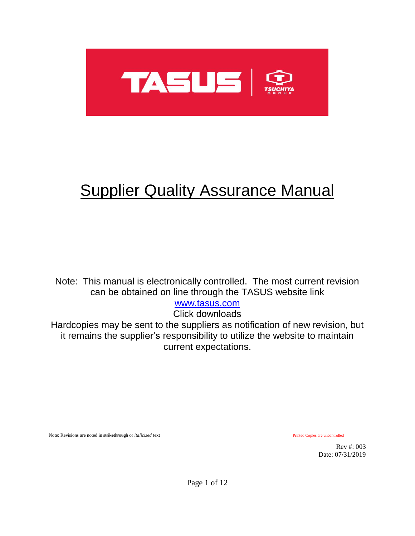

# **Supplier Quality Assurance Manual**

Note: This manual is electronically controlled. The most current revision can be obtained on line through the TASUS website link

[www.tasus.com](http://www.tasus.com/)

Click downloads

Hardcopies may be sent to the suppliers as notification of new revision, but it remains the supplier's responsibility to utilize the website to maintain current expectations.

Note: Revisions are noted in strikethrough or *italicized* text Printed Copies are uncontrolled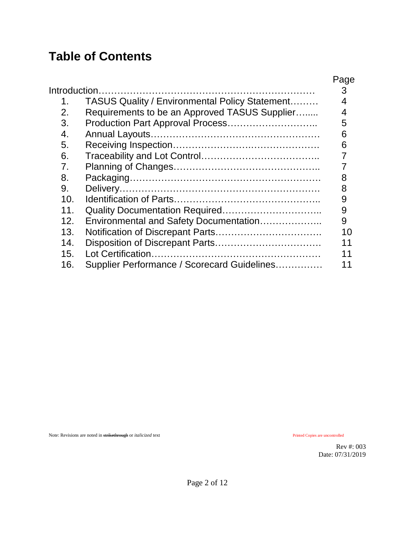## **Table of Contents**

| Introduction.<br>$\mathbf 1$ .<br>2.<br>3.<br>$\overline{4}$ .<br>5.<br>6.<br>7 <sub>1</sub><br>8. | <b>TASUS Quality / Environmental Policy Statement</b><br>Requirements to be an Approved TASUS Supplier | Page<br>3<br>5<br>6<br>6 |
|----------------------------------------------------------------------------------------------------|--------------------------------------------------------------------------------------------------------|--------------------------|
| 10 <sub>1</sub><br>11 <sub>1</sub>                                                                 |                                                                                                        | 9<br>9                   |
| 12 <sub>1</sub>                                                                                    | Environmental and Safety Documentation                                                                 | 9                        |
| 13.                                                                                                |                                                                                                        | 10                       |
| 14.                                                                                                |                                                                                                        | 11                       |
| 15.                                                                                                |                                                                                                        | 11                       |
| 16.                                                                                                | Supplier Performance / Scorecard Guidelines                                                            |                          |

Note: Revisions are noted in strikethrough or *italicized* text Printed Copies are uncontrolled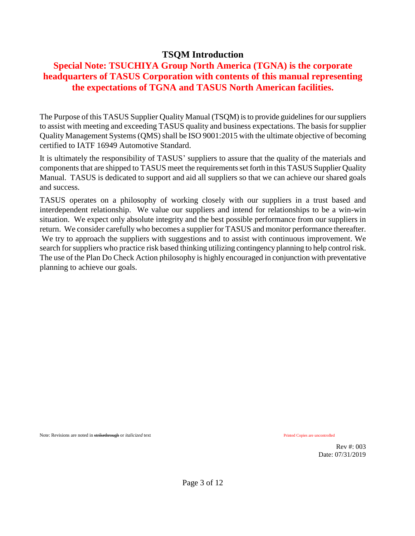#### **TSQM Introduction**

#### **Special Note: TSUCHIYA Group North America (TGNA) is the corporate headquarters of TASUS Corporation with contents of this manual representing the expectations of TGNA and TASUS North American facilities.**

The Purpose of this TASUS Supplier Quality Manual (TSQM) is to provide guidelinesfor our suppliers to assist with meeting and exceeding TASUS quality and business expectations. The basis for supplier Quality Management Systems (QMS) shall be ISO 9001:2015 with the ultimate objective of becoming certified to IATF 16949 Automotive Standard.

It is ultimately the responsibility of TASUS' suppliers to assure that the quality of the materials and components that are shipped to TASUS meet the requirements set forth in this TASUS Supplier Quality Manual. TASUS is dedicated to support and aid all suppliers so that we can achieve our shared goals and success.

TASUS operates on a philosophy of working closely with our suppliers in a trust based and interdependent relationship. We value our suppliers and intend for relationships to be a win-win situation. We expect only absolute integrity and the best possible performance from our suppliers in return. We consider carefully who becomes a supplier for TASUS and monitor performance thereafter. We try to approach the suppliers with suggestions and to assist with continuous improvement. We search for suppliers who practice risk based thinking utilizing contingency planning to help control risk. The use of the Plan Do Check Action philosophy is highly encouraged in conjunction with preventative planning to achieve our goals.

Note: Revisions are noted in strikethrough or *italicized* text **Printed Copies** are uncontrolled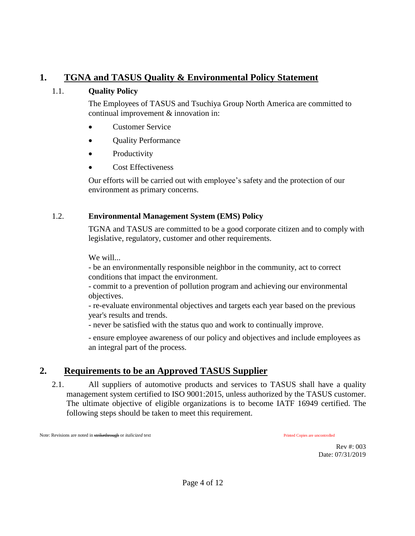#### **1. TGNA and TASUS Quality & Environmental Policy Statement**

#### 1.1. **Quality Policy**

The Employees of TASUS and Tsuchiya Group North America are committed to continual improvement & innovation in:

- Customer Service
- Ouality Performance
- Productivity
- Cost Effectiveness

Our efforts will be carried out with employee's safety and the protection of our environment as primary concerns.

#### 1.2. **Environmental Management System (EMS) Policy**

TGNA and TASUS are committed to be a good corporate citizen and to comply with legislative, regulatory, customer and other requirements.

We will...

- be an environmentally responsible neighbor in the community, act to correct conditions that impact the environment.

- commit to a prevention of pollution program and achieving our environmental objectives.

- re-evaluate environmental objectives and targets each year based on the previous year's results and trends.

- never be satisfied with the status quo and work to continually improve.

- ensure employee awareness of our policy and objectives and include employees as an integral part of the process.

## **2. Requirements to be an Approved TASUS Supplier**

2.1. All suppliers of automotive products and services to TASUS shall have a quality management system certified to ISO 9001:2015, unless authorized by the TASUS customer. The ultimate objective of eligible organizations is to become IATF 16949 certified. The following steps should be taken to meet this requirement.

Note: Revisions are noted in strikethrough or *italicized* text **Printed Copies** are uncontrolled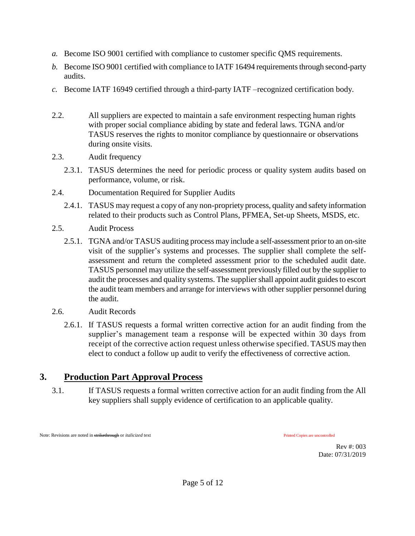- *a.* Become ISO 9001 certified with compliance to customer specific QMS requirements.
- *b.* Become ISO 9001 certified with compliance to IATF 16494 requirements through second-party audits.
- *c.* Become IATF 16949 certified through a third-party IATF –recognized certification body.
- 2.2. All suppliers are expected to maintain a safe environment respecting human rights with proper social compliance abiding by state and federal laws. TGNA and/or TASUS reserves the rights to monitor compliance by questionnaire or observations during onsite visits.
- 2.3. Audit frequency
	- 2.3.1. TASUS determines the need for periodic process or quality system audits based on performance, volume, or risk.
- 2.4. Documentation Required for Supplier Audits
	- 2.4.1. TASUS may request a copy of any non-propriety process, quality and safety information related to their products such as Control Plans, PFMEA, Set-up Sheets, MSDS, etc.
- 2.5. Audit Process
	- 2.5.1. TGNA and/or TASUS auditing process may include a self-assessment prior to an on-site visit of the supplier's systems and processes. The supplier shall complete the selfassessment and return the completed assessment prior to the scheduled audit date. TASUS personnel may utilize the self-assessment previously filled out by the supplier to audit the processes and quality systems. The supplier shall appoint audit guides to escort the audit team members and arrange for interviews with other supplier personnel during the audit.
- 2.6. Audit Records
	- 2.6.1. If TASUS requests a formal written corrective action for an audit finding from the supplier's management team a response will be expected within 30 days from receipt of the corrective action request unless otherwise specified. TASUS may then elect to conduct a follow up audit to verify the effectiveness of corrective action.

## **3. Production Part Approval Process**

3.1. If TASUS requests a formal written corrective action for an audit finding from the All key suppliers shall supply evidence of certification to an applicable quality.

Note: Revisions are noted in strikethrough or *italicized* text **Printed Copies** are uncontrolled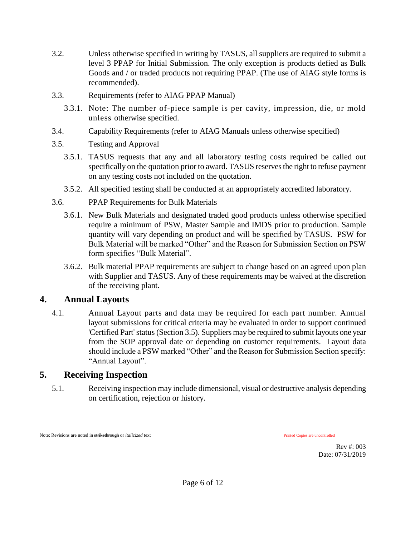- 3.2. Unless otherwise specified in writing by TASUS, all suppliers are required to submit a level 3 PPAP for Initial Submission. The only exception is products defied as Bulk Goods and / or traded products not requiring PPAP. (The use of AIAG style forms is recommended).
- 3.3. Requirements (refer to AIAG PPAP Manual)
	- 3.3.1. Note: The number of-piece sample is per cavity, impression, die, or mold unless otherwise specified.
- 3.4. Capability Requirements (refer to AIAG Manuals unless otherwise specified)
- 3.5. Testing and Approval
	- 3.5.1. TASUS requests that any and all laboratory testing costs required be called out specifically on the quotation prior to award. TASUS reserves the right to refuse payment on any testing costs not included on the quotation.
	- 3.5.2. All specified testing shall be conducted at an appropriately accredited laboratory.
- 3.6. PPAP Requirements for Bulk Materials
	- 3.6.1. New Bulk Materials and designated traded good products unless otherwise specified require a minimum of PSW, Master Sample and IMDS prior to production. Sample quantity will vary depending on product and will be specified by TASUS. PSW for Bulk Material will be marked "Other" and the Reason for Submission Section on PSW form specifies "Bulk Material".
	- 3.6.2. Bulk material PPAP requirements are subject to change based on an agreed upon plan with Supplier and TASUS. Any of these requirements may be waived at the discretion of the receiving plant.

#### **4. Annual Layouts**

4.1. Annual Layout parts and data may be required for each part number. Annual layout submissions for critical criteria may be evaluated in order to support continued 'Certified Part' status (Section 3.5). Suppliers may be required to submit layouts one year from the SOP approval date or depending on customer requirements. Layout data should include a PSW marked "Other" and the Reason for Submission Section specify: "Annual Layout".

## **5. Receiving Inspection**

5.1. Receiving inspection may include dimensional, visual or destructive analysis depending on certification, rejection or history.

Note: Revisions are noted in strikethrough or *italicized* text **Printed Copies** are uncontrolled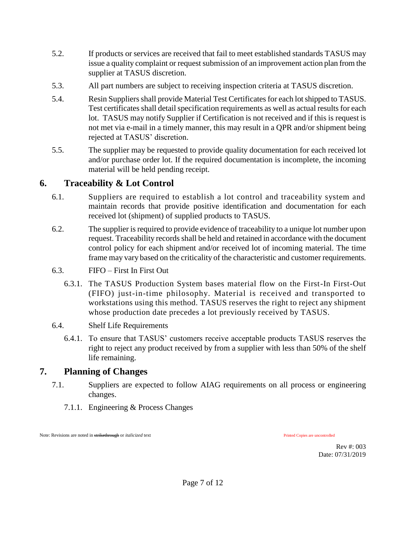- 5.2. If products or services are received that fail to meet established standards TASUS may issue a quality complaint or request submission of an improvement action plan from the supplier at TASUS discretion.
- 5.3. All part numbers are subject to receiving inspection criteria at TASUS discretion.
- 5.4. Resin Suppliers shall provide Material Test Certificates for each lot shipped to TASUS. Test certificates shall detail specification requirements as well as actual results for each lot. TASUS may notify Supplier if Certification is not received and if this is request is not met via e-mail in a timely manner, this may result in a QPR and/or shipment being rejected at TASUS' discretion.
- 5.5. The supplier may be requested to provide quality documentation for each received lot and/or purchase order lot. If the required documentation is incomplete, the incoming material will be held pending receipt.

#### **6. Traceability & Lot Control**

- 6.1. Suppliers are required to establish a lot control and traceability system and maintain records that provide positive identification and documentation for each received lot (shipment) of supplied products to TASUS.
- 6.2. The supplier is required to provide evidence of traceability to a unique lot number upon request. Traceability records shall be held and retained in accordance with the document control policy for each shipment and/or received lot of incoming material. The time frame may vary based on the criticality of the characteristic and customer requirements.
- 6.3. FIFO First In First Out
	- 6.3.1. The TASUS Production System bases material flow on the First-In First-Out (FIFO) just-in-time philosophy. Material is received and transported to workstations using this method. TASUS reserves the right to reject any shipment whose production date precedes a lot previously received by TASUS.
- 6.4. Shelf Life Requirements
	- 6.4.1. To ensure that TASUS' customers receive acceptable products TASUS reserves the right to reject any product received by from a supplier with less than 50% of the shelf life remaining.

#### **7. Planning of Changes**

- 7.1. Suppliers are expected to follow AIAG requirements on all process or engineering changes.
	- 7.1.1. Engineering & Process Changes

Note: Revisions are noted in strikethrough or *italicized* text **Printed Copies** are uncontrolled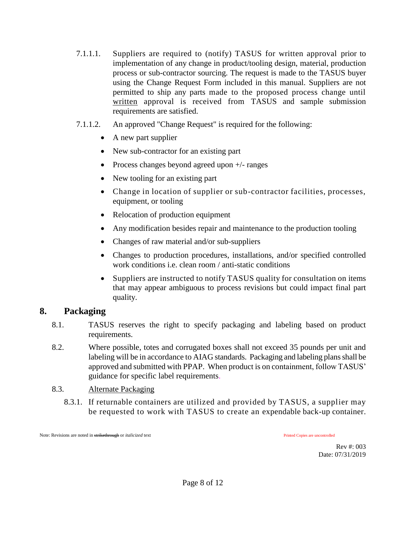- 7.1.1.1. Suppliers are required to (notify) TASUS for written approval prior to implementation of any change in product/tooling design, material, production process or sub-contractor sourcing. The request is made to the TASUS buyer using the Change Request Form included in this manual. Suppliers are not permitted to ship any parts made to the proposed process change until written approval is received from TASUS and sample submission requirements are satisfied.
- 7.1.1.2. An approved "Change Request" is required for the following:
	- A new part supplier
	- New sub-contractor for an existing part
	- Process changes beyond agreed upon  $+/-$  ranges
	- New tooling for an existing part
	- Change in location of supplier or sub-contractor facilities, processes, equipment, or tooling
	- Relocation of production equipment
	- Any modification besides repair and maintenance to the production tooling
	- Changes of raw material and/or sub-suppliers
	- Changes to production procedures, installations, and/or specified controlled work conditions i.e. clean room / anti-static conditions
	- Suppliers are instructed to notify TASUS quality for consultation on items that may appear ambiguous to process revisions but could impact final part quality.

#### **8. Packaging**

- 8.1. TASUS reserves the right to specify packaging and labeling based on product requirements.
- 8.2. Where possible, totes and corrugated boxes shall not exceed 35 pounds per unit and labeling will be in accordance to AIAG standards. Packaging and labeling plans shall be approved and submitted with PPAP. When product is on containment, follow TASUS' guidance for specific label requirements.
- 8.3. Alternate Packaging
	- 8.3.1. If returnable containers are utilized and provided by TASUS, a supplier may be requested to work with TASUS to create an expendable back-up container.

Note: Revisions are noted in st<del>rikethrough</del> or *italicized* text Printed Copies are uncontrolled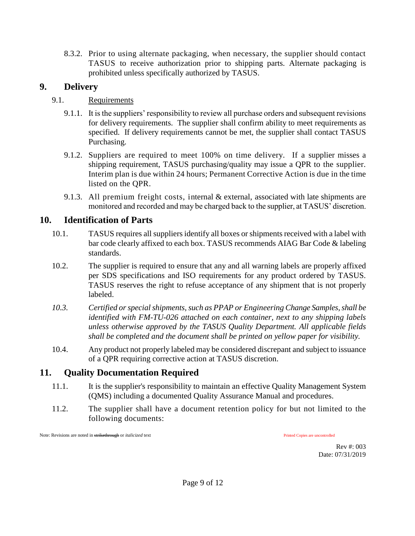8.3.2. Prior to using alternate packaging, when necessary, the supplier should contact TASUS to receive authorization prior to shipping parts. Alternate packaging is prohibited unless specifically authorized by TASUS.

#### **9. Delivery**

#### 9.1. Requirements

- 9.1.1. It is the suppliers' responsibility to review all purchase orders and subsequent revisions for delivery requirements. The supplier shall confirm ability to meet requirements as specified. If delivery requirements cannot be met, the supplier shall contact TASUS Purchasing.
- 9.1.2. Suppliers are required to meet 100% on time delivery. If a supplier misses a shipping requirement, TASUS purchasing/quality may issue a QPR to the supplier. Interim plan is due within 24 hours; Permanent Corrective Action is due in the time listed on the QPR.
- 9.1.3. All premium freight costs, internal & external, associated with late shipments are monitored and recorded and may be charged back to the supplier, at TASUS' discretion.

### **10. Identification of Parts**

- 10.1. TASUS requires all suppliers identify all boxes or shipments received with a label with bar code clearly affixed to each box. TASUS recommends AIAG Bar Code & labeling standards.
- 10.2. The supplier is required to ensure that any and all warning labels are properly affixed per SDS specifications and ISO requirements for any product ordered by TASUS. TASUS reserves the right to refuse acceptance of any shipment that is not properly labeled.
- *10.3. Certified or special shipments, such as PPAP or Engineering Change Samples, shall be identified with FM-TU-026 attached on each container, next to any shipping labels unless otherwise approved by the TASUS Quality Department. All applicable fields shall be completed and the document shall be printed on yellow paper for visibility.*
- 10.4. Any product not properly labeled may be considered discrepant and subject to issuance of a QPR requiring corrective action at TASUS discretion.

## **11. Quality Documentation Required**

- 11.1. It is the supplier's responsibility to maintain an effective Quality Management System (QMS) including a documented Quality Assurance Manual and procedures.
- 11.2. The supplier shall have a document retention policy for but not limited to the following documents:

Note: Revisions are noted in st<del>rikethrough</del> or *italicized* text Printed Copies are uncontrolled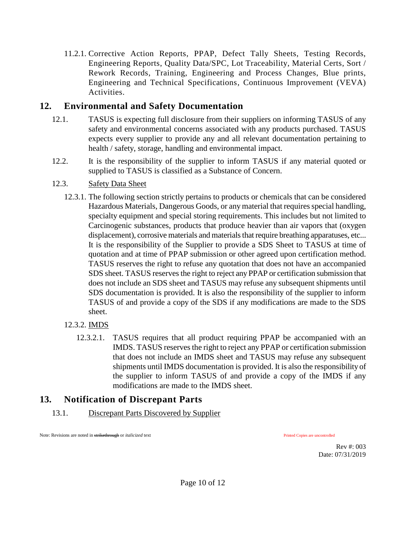11.2.1. Corrective Action Reports, PPAP, Defect Tally Sheets, Testing Records, Engineering Reports, Quality Data/SPC, Lot Traceability, Material Certs, Sort / Rework Records, Training, Engineering and Process Changes, Blue prints, Engineering and Technical Specifications, Continuous Improvement (VEVA) Activities.

#### **12. Environmental and Safety Documentation**

- 12.1. TASUS is expecting full disclosure from their suppliers on informing TASUS of any safety and environmental concerns associated with any products purchased. TASUS expects every supplier to provide any and all relevant documentation pertaining to health / safety, storage, handling and environmental impact.
- 12.2. It is the responsibility of the supplier to inform TASUS if any material quoted or supplied to TASUS is classified as a Substance of Concern.

#### 12.3. Safety Data Sheet

- 12.3.1. The following section strictly pertains to products or chemicals that can be considered Hazardous Materials, Dangerous Goods, or any material that requires special handling, specialty equipment and special storing requirements. This includes but not limited to Carcinogenic substances, products that produce heavier than air vapors that (oxygen displacement), corrosive materials and materials that require breathing apparatuses, etc... It is the responsibility of the Supplier to provide a SDS Sheet to TASUS at time of quotation and at time of PPAP submission or other agreed upon certification method. TASUS reserves the right to refuse any quotation that does not have an accompanied SDS sheet. TASUS reserves the right to reject any PPAP or certification submission that does not include an SDS sheet and TASUS may refuse any subsequent shipments until SDS documentation is provided. It is also the responsibility of the supplier to inform TASUS of and provide a copy of the SDS if any modifications are made to the SDS sheet.
- 12.3.2. IMDS
	- 12.3.2.1. TASUS requires that all product requiring PPAP be accompanied with an IMDS. TASUS reserves the right to reject any PPAP or certification submission that does not include an IMDS sheet and TASUS may refuse any subsequent shipments until IMDS documentation is provided. It is also the responsibility of the supplier to inform TASUS of and provide a copy of the IMDS if any modifications are made to the IMDS sheet.

## **13. Notification of Discrepant Parts**

13.1. Discrepant Parts Discovered by Supplier

Note: Revisions are noted in strikethrough or *italicized* text **Printed Copies** are uncontrolled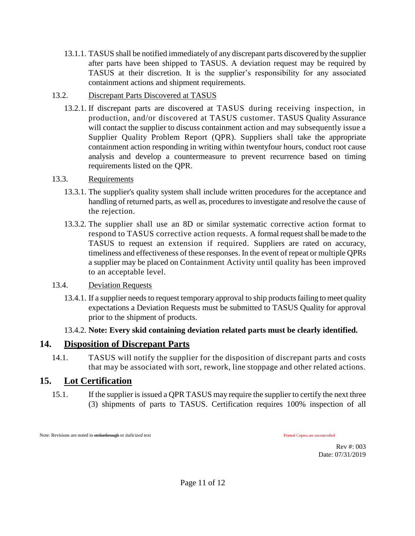13.1.1. TASUS shall be notified immediately of any discrepant parts discovered by the supplier after parts have been shipped to TASUS. A deviation request may be required by TASUS at their discretion. It is the supplier's responsibility for any associated containment actions and shipment requirements.

#### 13.2. Discrepant Parts Discovered at TASUS

13.2.1. If discrepant parts are discovered at TASUS during receiving inspection, in production, and/or discovered at TASUS customer. TASUS Quality Assurance will contact the supplier to discuss containment action and may subsequently issue a Supplier Quality Problem Report (QPR). Suppliers shall take the appropriate containment action responding in writing within twentyfour hours, conduct root cause analysis and develop a countermeasure to prevent recurrence based on timing requirements listed on the QPR.

#### 13.3. Requirements

- 13.3.1. The supplier's quality system shall include written procedures for the acceptance and handling of returned parts, as well as, procedures to investigate and resolve the cause of the rejection.
- 13.3.2. The supplier shall use an 8D or similar systematic corrective action format to respond to TASUS corrective action requests. A formal request shall be made to the TASUS to request an extension if required. Suppliers are rated on accuracy, timeliness and effectiveness of these responses. In the event of repeat or multiple QPRs a supplier may be placed on Containment Activity until quality has been improved to an acceptable level.

#### 13.4. Deviation Requests

13.4.1. If a supplier needs to request temporary approval to ship products failing to meet quality expectations a Deviation Requests must be submitted to TASUS Quality for approval prior to the shipment of products.

#### 13.4.2. **Note: Every skid containing deviation related parts must be clearly identified.**

#### **14. Disposition of Discrepant Parts**

14.1. TASUS will notify the supplier for the disposition of discrepant parts and costs that may be associated with sort, rework, line stoppage and other related actions.

## **15. Lot Certification**

15.1. If the supplier is issued a QPR TASUS may require the supplier to certify the next three (3) shipments of parts to TASUS. Certification requires 100% inspection of all

Note: Revisions are noted in strikethrough or *italicized* text **Printed Copies** are uncontrolled